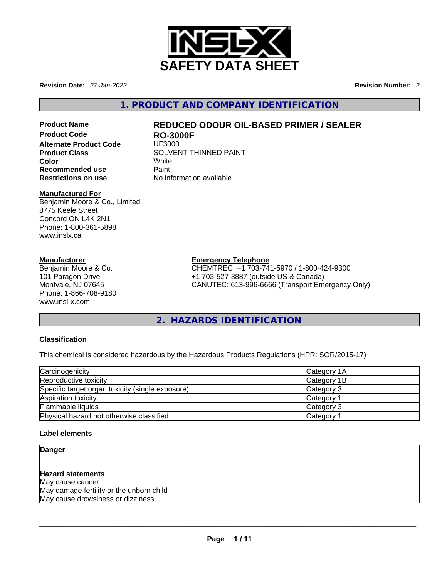

**Revision Date:** *27-Jan-2022* **Revision Number:** *2*

**1. PRODUCT AND COMPANY IDENTIFICATION** 

**Alternate Product Code**<br>Product Class **Color** White **Recommended use** Paint<br> **Restrictions on use** No inf

## **Product Name REDUCED ODOUR OIL-BASED PRIMER / SEALER**

**RO-3000F**<br>UF3000 **Product Class** SOLVENT THINNED PAINT **Restrictions on use** No information available

#### **Manufactured For**

Benjamin Moore & Co., Limited 8775 Keele Street Concord ON L4K 2N1 Phone: 1-800-361-5898 www.inslx.ca

#### **Manufacturer**

Benjamin Moore & Co. 101 Paragon Drive Montvale, NJ 07645 Phone: 1-866-708-9180 www.insl-x.com

#### **Emergency Telephone**

CHEMTREC: +1 703-741-5970 / 1-800-424-9300 +1 703-527-3887 (outside US & Canada) CANUTEC: 613-996-6666 (Transport Emergency Only)

#### **2. HAZARDS IDENTIFICATION**

#### **Classification**

This chemical is considered hazardous by the Hazardous Products Regulations (HPR: SOR/2015-17)

| Carcinogenicity                                  | Category 1A           |
|--------------------------------------------------|-----------------------|
| Reproductive toxicity                            | Category 1B           |
| Specific target organ toxicity (single exposure) | Category 3            |
| Aspiration toxicity                              | Category <sup>2</sup> |
| Flammable liquids                                | Category 3            |
| Physical hazard not otherwise classified         | Category <sup>2</sup> |

#### **Label elements**

#### **Danger**

#### **Hazard statements** May cause cancer May damage fertility or the unborn child

May cause drowsiness or dizziness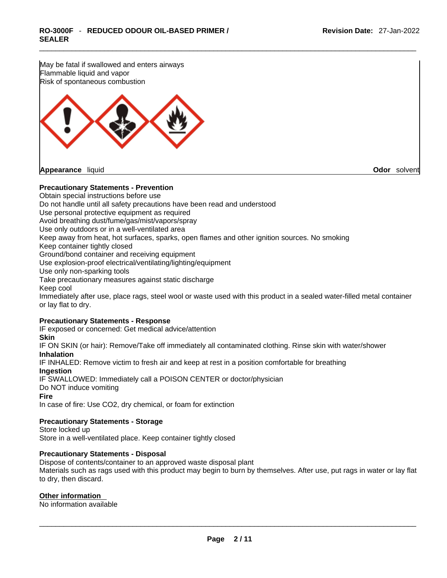

#### **Precautionary Statements - Prevention**

Obtain special instructions before use Do not handle until all safety precautions have been read and understood Use personal protective equipment as required Avoid breathing dust/fume/gas/mist/vapors/spray Use only outdoors or in a well-ventilated area Keep away from heat, hot surfaces, sparks, open flames and other ignition sources. No smoking Keep container tightly closed Ground/bond container and receiving equipment Use explosion-proof electrical/ventilating/lighting/equipment Use only non-sparking tools Take precautionary measures against static discharge Keep cool Immediately after use, place rags, steel wool or waste used with this product in a sealed water-filled metal container or lay flat to dry.

#### **Precautionary Statements - Response**

IF exposed or concerned: Get medical advice/attention **Skin** IF ON SKIN (or hair): Remove/Take off immediately all contaminated clothing. Rinse skin with water/shower **Inhalation**

IF INHALED: Remove victim to fresh air and keep at rest in a position comfortable for breathing

**Ingestion**

IF SWALLOWED: Immediately call a POISON CENTER or doctor/physician Do NOT induce vomiting **Fire**

In case of fire: Use CO2, dry chemical, or foam for extinction

#### **Precautionary Statements - Storage**

Store locked up Store in a well-ventilated place. Keep container tightly closed

#### **Precautionary Statements - Disposal**

Dispose of contents/container to an approved waste disposal plant Materials such as rags used with this product may begin to burn by themselves. After use, put rags in water or lay flat to dry, then discard.

#### **Other information**

No information available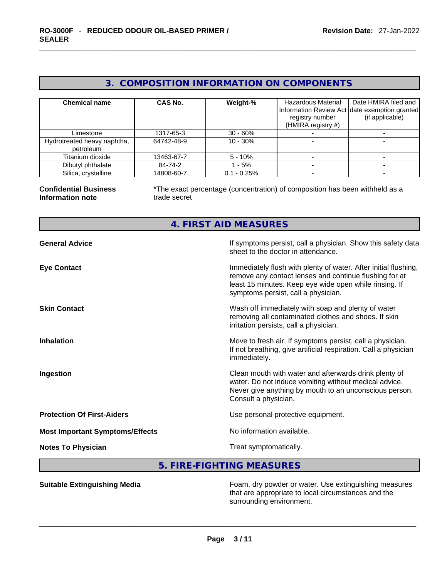|  | 3. COMPOSITION INFORMATION ON COMPONENTS |  |
|--|------------------------------------------|--|
|--|------------------------------------------|--|

| <b>Chemical name</b>                     | <b>CAS No.</b> | Weight-%      | Hazardous Material<br>registry number<br>(HMIRA registry $#$ ) | Date HMIRA filed and<br>Information Review Act date exemption granted<br>(if applicable) |
|------------------------------------------|----------------|---------------|----------------------------------------------------------------|------------------------------------------------------------------------------------------|
| Limestone                                | 1317-65-3      | $30 - 60%$    |                                                                |                                                                                          |
| Hydrotreated heavy naphtha,<br>petroleum | 64742-48-9     | $10 - 30%$    |                                                                |                                                                                          |
| Titanium dioxide                         | 13463-67-7     | $5 - 10\%$    |                                                                |                                                                                          |
| Dibutyl phthalate                        | 84-74-2        | $-5%$         |                                                                |                                                                                          |
| Silica, crystalline                      | 14808-60-7     | $0.1 - 0.25%$ |                                                                |                                                                                          |

#### **Confidential Business Information note**

\*The exact percentage (concentration) of composition has been withheld as a trade secret

### **4. FIRST AID MEASURES**

| <b>General Advice</b>                  | If symptoms persist, call a physician. Show this safety data<br>sheet to the doctor in attendance.                                                                                                                         |
|----------------------------------------|----------------------------------------------------------------------------------------------------------------------------------------------------------------------------------------------------------------------------|
| <b>Eye Contact</b>                     | Immediately flush with plenty of water. After initial flushing,<br>remove any contact lenses and continue flushing for at<br>least 15 minutes. Keep eye wide open while rinsing. If<br>symptoms persist, call a physician. |
| <b>Skin Contact</b>                    | Wash off immediately with soap and plenty of water<br>removing all contaminated clothes and shoes. If skin<br>irritation persists, call a physician.                                                                       |
| <b>Inhalation</b>                      | Move to fresh air. If symptoms persist, call a physician.<br>If not breathing, give artificial respiration. Call a physician<br>immediately.                                                                               |
| Ingestion                              | Clean mouth with water and afterwards drink plenty of<br>water. Do not induce vomiting without medical advice.<br>Never give anything by mouth to an unconscious person.<br>Consult a physician.                           |
| <b>Protection Of First-Aiders</b>      | Use personal protective equipment.                                                                                                                                                                                         |
| <b>Most Important Symptoms/Effects</b> | No information available.                                                                                                                                                                                                  |
| <b>Notes To Physician</b>              | Treat symptomatically.                                                                                                                                                                                                     |

#### **5. FIRE-FIGHTING MEASURES**

**Suitable Extinguishing Media** Foam, dry powder or water. Use extinguishing measures that are appropriate to local circumstances and the surrounding environment. \_\_\_\_\_\_\_\_\_\_\_\_\_\_\_\_\_\_\_\_\_\_\_\_\_\_\_\_\_\_\_\_\_\_\_\_\_\_\_\_\_\_\_\_\_\_\_\_\_\_\_\_\_\_\_\_\_\_\_\_\_\_\_\_\_\_\_\_\_\_\_\_\_\_\_\_\_\_\_\_\_\_\_\_\_\_\_\_\_\_\_\_\_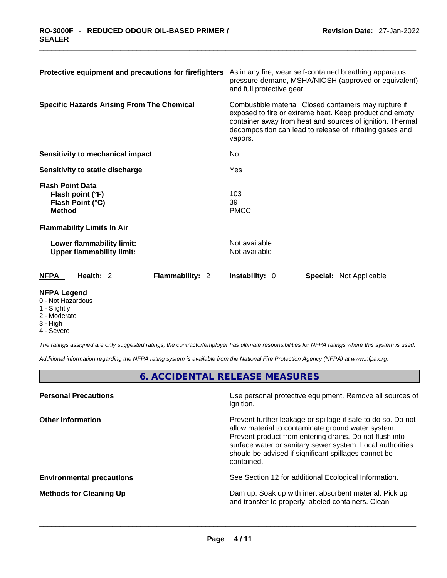| Protective equipment and precautions for firefighters                            | As in any fire, wear self-contained breathing apparatus<br>pressure-demand, MSHA/NIOSH (approved or equivalent)<br>and full protective gear.                                                                                                           |
|----------------------------------------------------------------------------------|--------------------------------------------------------------------------------------------------------------------------------------------------------------------------------------------------------------------------------------------------------|
| <b>Specific Hazards Arising From The Chemical</b>                                | Combustible material. Closed containers may rupture if<br>exposed to fire or extreme heat. Keep product and empty<br>container away from heat and sources of ignition. Thermal<br>decomposition can lead to release of irritating gases and<br>vapors. |
| Sensitivity to mechanical impact                                                 | No.                                                                                                                                                                                                                                                    |
| Sensitivity to static discharge                                                  | Yes                                                                                                                                                                                                                                                    |
| <b>Flash Point Data</b><br>Flash point (°F)<br>Flash Point (°C)<br><b>Method</b> | 103<br>39<br><b>PMCC</b>                                                                                                                                                                                                                               |
| <b>Flammability Limits In Air</b>                                                |                                                                                                                                                                                                                                                        |
| Lower flammability limit:<br><b>Upper flammability limit:</b>                    | Not available<br>Not available                                                                                                                                                                                                                         |
| <b>NFPA</b><br>Health: 2<br><b>Flammability: 2</b>                               | <b>Instability: 0</b><br><b>Special:</b> Not Applicable                                                                                                                                                                                                |

#### **NFPA Legend**

- 0 Not Hazardous
- 1 Slightly
- 2 Moderate
- 3 High
- 4 Severe

*The ratings assigned are only suggested ratings, the contractor/employer has ultimate responsibilities for NFPA ratings where this system is used.* 

*Additional information regarding the NFPA rating system is available from the National Fire Protection Agency (NFPA) at www.nfpa.org.* 

#### **6. ACCIDENTAL RELEASE MEASURES**

| Use personal protective equipment. Remove all sources of<br>ignition.                                                                                                                                                                                                                                            |
|------------------------------------------------------------------------------------------------------------------------------------------------------------------------------------------------------------------------------------------------------------------------------------------------------------------|
| Prevent further leakage or spillage if safe to do so. Do not<br>allow material to contaminate ground water system.<br>Prevent product from entering drains. Do not flush into<br>surface water or sanitary sewer system. Local authorities<br>should be advised if significant spillages cannot be<br>contained. |
| See Section 12 for additional Ecological Information.                                                                                                                                                                                                                                                            |
| Dam up. Soak up with inert absorbent material. Pick up<br>and transfer to properly labeled containers. Clean                                                                                                                                                                                                     |
|                                                                                                                                                                                                                                                                                                                  |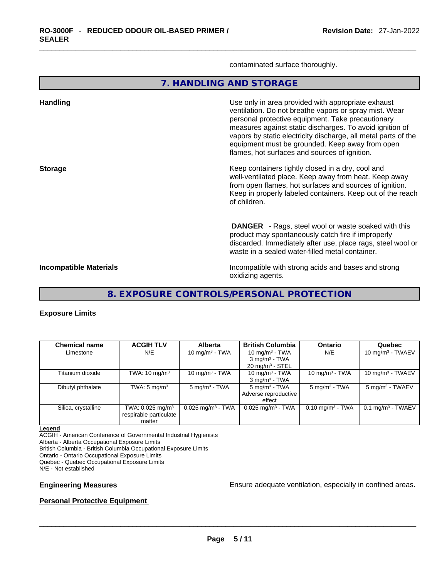contaminated surface thoroughly.

**7. HANDLING AND STORAGE** 

| <b>Handling</b>               | Use only in area provided with appropriate exhaust<br>ventilation. Do not breathe vapors or spray mist. Wear<br>personal protective equipment. Take precautionary<br>measures against static discharges. To avoid ignition of<br>vapors by static electricity discharge, all metal parts of the<br>equipment must be grounded. Keep away from open<br>flames, hot surfaces and sources of ignition. |
|-------------------------------|-----------------------------------------------------------------------------------------------------------------------------------------------------------------------------------------------------------------------------------------------------------------------------------------------------------------------------------------------------------------------------------------------------|
| <b>Storage</b>                | Keep containers tightly closed in a dry, cool and<br>well-ventilated place. Keep away from heat. Keep away<br>from open flames, hot surfaces and sources of ignition.<br>Keep in properly labeled containers. Keep out of the reach<br>of children.                                                                                                                                                 |
|                               | <b>DANGER</b> - Rags, steel wool or waste soaked with this<br>product may spontaneously catch fire if improperly<br>discarded. Immediately after use, place rags, steel wool or<br>waste in a sealed water-filled metal container.                                                                                                                                                                  |
| <b>Incompatible Materials</b> | Incompatible with strong acids and bases and strong<br>oxidizing agents.                                                                                                                                                                                                                                                                                                                            |

**8. EXPOSURE CONTROLS/PERSONAL PROTECTION** 

#### **Exposure Limits**

| <b>Chemical name</b> | <b>ACGIH TLV</b>                                                   | <b>Alberta</b>                  | <b>British Columbia</b>                                    | <b>Ontario</b>              | Quebec                          |
|----------------------|--------------------------------------------------------------------|---------------------------------|------------------------------------------------------------|-----------------------------|---------------------------------|
| Limestone            | N/E                                                                | 10 mg/m $3$ - TWA               | 10 mg/m $3$ - TWA<br>$3$ mg/m <sup>3</sup> - TWA           | N/E                         | 10 mg/m $3$ - TWAEV             |
|                      |                                                                    |                                 | $20 \text{ mg/m}^3$ - STEL                                 |                             |                                 |
| Titanium dioxide     | TWA: 10 mg/m $^3\,$                                                | 10 mg/m $3$ - TWA               | 10 mg/m $3$ - TWA<br>$3$ mg/m <sup>3</sup> - TWA           | 10 mg/m $3$ - TWA           | 10 mg/m $3$ - TWAEV             |
| Dibutyl phthalate    | TWA: $5 \text{ mg/m}^3$                                            | $5 \text{ mg/m}^3$ - TWA        | $5 \text{ mg/m}^3$ - TWA<br>Adverse reproductive<br>effect | $5 \text{ mg/m}^3$ - TWA    | $5 \text{ mg/m}^3$ - TWAEV      |
| Silica, crystalline  | TWA: $0.025$ mg/m <sup>3</sup><br>respirable particulate<br>matter | $0.025$ mg/m <sup>3</sup> - TWA | $0.025$ mg/m <sup>3</sup> - TWA                            | $0.10 \text{ mg/m}^3$ - TWA | $0.1$ mg/m <sup>3</sup> - TWAEV |

#### **Legend**

ACGIH - American Conference of Governmental Industrial Hygienists Alberta - Alberta Occupational Exposure Limits British Columbia - British Columbia Occupational Exposure Limits Ontario - Ontario Occupational Exposure Limits Quebec - Quebec Occupational Exposure Limits N/E - Not established

**Engineering Measures Ensure 2008** Ensure adequate ventilation, especially in confined areas.

#### **Personal Protective Equipment**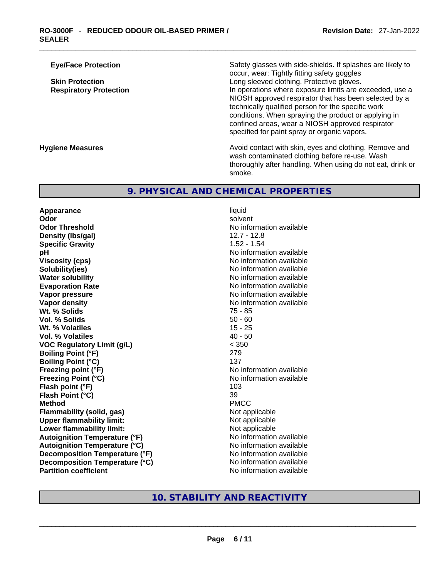thoroughly after handling. When using do not eat, drink or

| <b>Eye/Face Protection</b>    | Safety glasses with side-shields. If splashes are likely to<br>occur, wear: Tightly fitting safety goggles                                                                                                                                                                                                                         |
|-------------------------------|------------------------------------------------------------------------------------------------------------------------------------------------------------------------------------------------------------------------------------------------------------------------------------------------------------------------------------|
| <b>Skin Protection</b>        | Long sleeved clothing. Protective gloves.                                                                                                                                                                                                                                                                                          |
| <b>Respiratory Protection</b> | In operations where exposure limits are exceeded, use a<br>NIOSH approved respirator that has been selected by a<br>technically qualified person for the specific work<br>conditions. When spraying the product or applying in<br>confined areas, wear a NIOSH approved respirator<br>specified for paint spray or organic vapors. |
| <b>Hygiene Measures</b>       | Avoid contact with skin, eyes and clothing. Remove and<br>wash contaminated clothing before re-use. Wash                                                                                                                                                                                                                           |

#### **9. PHYSICAL AND CHEMICAL PROPERTIES**

smoke.

**Appearance** liquid **Odor Solvent Solvent Solvent Solvent Odor Threshold No information available No information available Density (lbs/gal)** 12.7 - 12.8 **Specific Gravity** 1.52 - 1.54 **pH bH** *pH* **Viscosity (cps) Viscosity (cps) No information available Solubility(ies)**<br> **No information available**<br> **Water solubility**<br> **Water solubility Water solubility 19 and 19 and 19 and 19 and 19 and 19 and 19 and 19 and 19 and 19 and 19 and 19 and 19 and 19 <br>No information available 19 and 19 and 19 and 19 and 19 and 19 and 19 and 19 and 19 and 19 and 19 and 19 and Vapor pressure No information available Vapor density No information available No information available Wt. % Solids** 75 - 85 **Vol. % Solids** 50 - 60 **Wt. % Volatiles** 15 - 25 **Vol. % Volatiles** 40 - 50 **VOC Regulatory Limit (g/L)** < 350 **Boiling Point (°F)** 279 **Boiling Point**  $(°C)$  137 **Freezing point (°F)**<br> **Freezing Point (°C)**<br> **Freezing Point (°C)**<br> **No** information available **Flash point (°F)** 103 **Flash Point (°C)** 39 **Method** PMCC **Flammability (solid, gas)** Not applicable **Upper flammability limit:** Not applicable **Lower flammability limit:** Not applicable **Autoignition Temperature (°F)** No information available **Autoignition Temperature (°C)**<br> **Decomposition Temperature (°F)** No information available **Decomposition Temperature (°F) Decomposition Temperature (°C)** No information available

**Evaporation Rate** No information available **Freezing Point (°C)** No information available

# **Partition coefficient**<br>No information available<br>No information available<br>No information available<br>No information available<br>No information available<br>No information available<br>No information available<br>No information availabl **10. STABILITY AND REACTIVITY**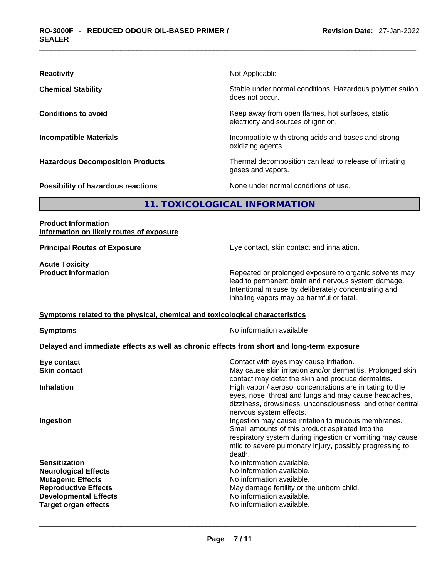| <b>Reactivity</b>                       | Not Applicable                                                                           |
|-----------------------------------------|------------------------------------------------------------------------------------------|
| <b>Chemical Stability</b>               | Stable under normal conditions. Hazardous polymerisation<br>does not occur.              |
| <b>Conditions to avoid</b>              | Keep away from open flames, hot surfaces, static<br>electricity and sources of ignition. |
| <b>Incompatible Materials</b>           | Incompatible with strong acids and bases and strong<br>oxidizing agents.                 |
| <b>Hazardous Decomposition Products</b> | Thermal decomposition can lead to release of irritating<br>gases and vapors.             |
| Possibility of hazardous reactions      | None under normal conditions of use.                                                     |

#### **11. TOXICOLOGICAL INFORMATION**

#### **Product Information Information on likely routes of exposure**

**Principal Routes of Exposure** Eye contact, skin contact and inhalation.

**Acute Toxicity<br>Product Information** 

Repeated or prolonged exposure to organic solvents may lead to permanent brain and nervous system damage. Intentional misuse by deliberately concentrating and inhaling vapors may be harmful or fatal.

#### **<u>Symptoms related to the physical, chemical and toxicological characteristics</u>**

**Symptoms Symptoms No information available** 

#### **Delayed and immediate effects as well as chronic effects from short and long-term exposure**

| Eye contact                  | Contact with eyes may cause irritation.                                                                                                                                                                                                    |
|------------------------------|--------------------------------------------------------------------------------------------------------------------------------------------------------------------------------------------------------------------------------------------|
| <b>Skin contact</b>          | May cause skin irritation and/or dermatitis. Prolonged skin<br>contact may defat the skin and produce dermatitis.                                                                                                                          |
| <b>Inhalation</b>            | High vapor / aerosol concentrations are irritating to the<br>eyes, nose, throat and lungs and may cause headaches,<br>dizziness, drowsiness, unconsciousness, and other central<br>nervous system effects.                                 |
| Ingestion                    | Ingestion may cause irritation to mucous membranes.<br>Small amounts of this product aspirated into the<br>respiratory system during ingestion or vomiting may cause<br>mild to severe pulmonary injury, possibly progressing to<br>death. |
| <b>Sensitization</b>         | No information available.                                                                                                                                                                                                                  |
| <b>Neurological Effects</b>  | No information available.                                                                                                                                                                                                                  |
| <b>Mutagenic Effects</b>     | No information available.                                                                                                                                                                                                                  |
| <b>Reproductive Effects</b>  | May damage fertility or the unborn child.                                                                                                                                                                                                  |
| <b>Developmental Effects</b> | No information available.                                                                                                                                                                                                                  |
| <b>Target organ effects</b>  | No information available.                                                                                                                                                                                                                  |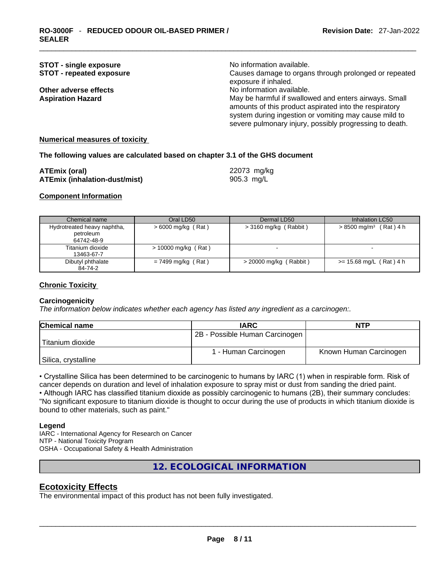| <b>STOT - single exposure</b><br><b>STOT - repeated exposure</b> | No information available.<br>Causes damage to organs through prolonged or repeated<br>exposure if inhaled.                                                                                                                                                       |
|------------------------------------------------------------------|------------------------------------------------------------------------------------------------------------------------------------------------------------------------------------------------------------------------------------------------------------------|
| Other adverse effects<br><b>Aspiration Hazard</b>                | No information available.<br>May be harmful if swallowed and enters airways. Small<br>amounts of this product aspirated into the respiratory<br>system during ingestion or vomiting may cause mild to<br>severe pulmonary injury, possibly progressing to death. |

#### **Numerical measures of toxicity**

#### **The following values are calculated based on chapter 3.1 of the GHS document**

| <b>ATEmix (oral)</b>                 | 22073 mg/kg |
|--------------------------------------|-------------|
| <b>ATEmix (inhalation-dust/mist)</b> | 905.3 mg/L  |

#### **Component Information**

| Chemical name                                          | Oral LD50             | Dermal LD50              | Inhalation LC50                      |
|--------------------------------------------------------|-----------------------|--------------------------|--------------------------------------|
| Hydrotreated heavy naphtha,<br>petroleum<br>64742-48-9 | $>6000$ mg/kg (Rat)   | $>$ 3160 mg/kg (Rabbit)  | $> 8500$ mg/m <sup>3</sup> (Rat) 4 h |
| Titanium dioxide<br>13463-67-7                         | $> 10000$ mg/kg (Rat) |                          |                                      |
| Dibutyl phthalate<br>84-74-2                           | $= 7499$ mg/kg (Rat)  | $>$ 20000 mg/kg (Rabbit) | $>= 15.68$ mg/L (Rat) 4 h            |

#### **Chronic Toxicity**

#### **Carcinogenicity**

*The information below indicates whether each agency has listed any ingredient as a carcinogen:.* 

| <b>Chemical name</b> | <b>IARC</b>                    | <b>NTP</b>             |  |
|----------------------|--------------------------------|------------------------|--|
|                      | 2B - Possible Human Carcinogen |                        |  |
| Titanium dioxide     |                                |                        |  |
|                      | 1 - Human Carcinogen           | Known Human Carcinogen |  |
| Silica, crystalline  |                                |                        |  |

• Crystalline Silica has been determined to be carcinogenic to humans by IARC (1) when in respirable form. Risk of cancer depends on duration and level of inhalation exposure to spray mist or dust from sanding the dried paint.

• Although IARC has classified titanium dioxide as possibly carcinogenic to humans (2B), their summary concludes: "No significant exposure to titanium dioxide is thought to occur during the use of products in which titanium dioxide is bound to other materials, such as paint."

#### **Legend**

IARC - International Agency for Research on Cancer

NTP - National Toxicity Program

OSHA - Occupational Safety & Health Administration

#### **12. ECOLOGICAL INFORMATION**

#### **Ecotoxicity Effects**

The environmental impact of this product has not been fully investigated.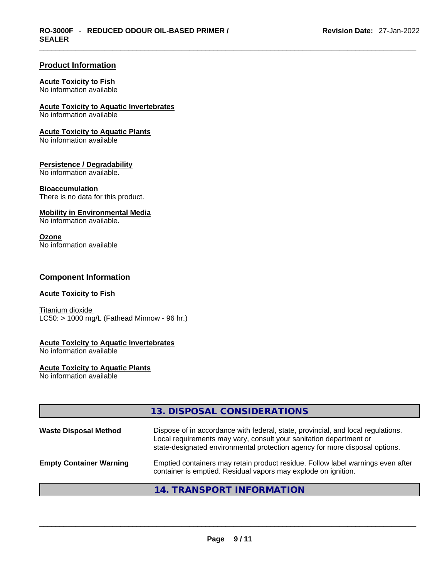#### **Product Information**

#### **Acute Toxicity to Fish**

No information available

#### **Acute Toxicity to Aquatic Invertebrates**

No information available

#### **Acute Toxicity to Aquatic Plants**

No information available

#### **Persistence / Degradability**

No information available.

#### **Bioaccumulation**

There is no data for this product.

#### **Mobility in Environmental Media**

No information available.

#### **Ozone**

No information available

#### **Component Information**

#### **Acute Toxicity to Fish**

Titanium dioxide  $LCS0:$  > 1000 mg/L (Fathead Minnow - 96 hr.)

#### **Acute Toxicity to Aquatic Invertebrates**

No information available

#### **Acute Toxicity to Aquatic Plants**

No information available

|                                | 13. DISPOSAL CONSIDERATIONS                                                                                                                                                                                                           |
|--------------------------------|---------------------------------------------------------------------------------------------------------------------------------------------------------------------------------------------------------------------------------------|
| <b>Waste Disposal Method</b>   | Dispose of in accordance with federal, state, provincial, and local regulations.<br>Local requirements may vary, consult your sanitation department or<br>state-designated environmental protection agency for more disposal options. |
| <b>Empty Container Warning</b> | Emptied containers may retain product residue. Follow label warnings even after<br>container is emptied. Residual vapors may explode on ignition.                                                                                     |
|                                | 14. TRANSPORT INFORMATION                                                                                                                                                                                                             |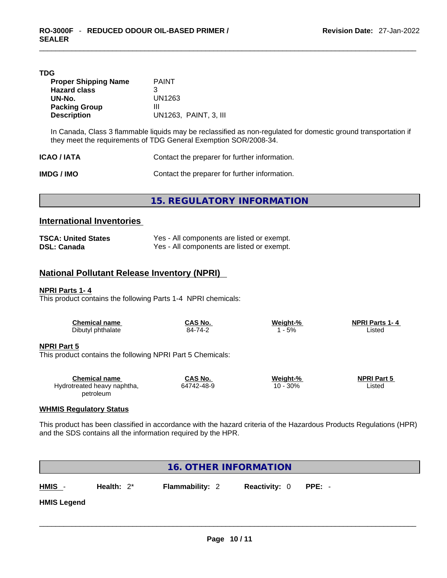#### **TDG**

| <b>Proper Shipping Name</b> | <b>PAINT</b>          |
|-----------------------------|-----------------------|
| <b>Hazard class</b>         | З                     |
| UN-No.                      | UN1263                |
| <b>Packing Group</b>        | Ш                     |
| <b>Description</b>          | UN1263. PAINT, 3. III |

In Canada, Class 3 flammable liquids may be reclassified as non-regulated for domestic ground transportation if they meet the requirements of TDG General Exemption SOR/2008-34.

| <b>ICAO / IATA</b> | Contact the preparer for further information. |
|--------------------|-----------------------------------------------|
| IMDG / IMO         | Contact the preparer for further information. |

**15. REGULATORY INFORMATION** 

#### **International Inventories**

| <b>TSCA: United States</b> | Yes - All components are listed or exempt. |
|----------------------------|--------------------------------------------|
| <b>DSL: Canada</b>         | Yes - All components are listed or exempt. |

#### **National Pollutant Release Inventory (NPRI)**

#### **NPRI Parts 1- 4**

This product contains the following Parts 1-4 NPRI chemicals:

| <b>Chemical name</b>                                                             | CAS No. | Weight-% | <b>NPRI Parts 1-4</b> |  |
|----------------------------------------------------------------------------------|---------|----------|-----------------------|--|
| Dibutyl phthalate                                                                | 84-74-2 | 1 - 5%   | Listed                |  |
| <b>NPRI Part 5</b><br>This product contains the following NPRI Part 5 Chemicals: |         |          |                       |  |

| <b>Chemical name</b>        | CAS No.    | Weight-%    | <b>NPRI Part 5</b> |  |
|-----------------------------|------------|-------------|--------------------|--|
| Hydrotreated heavy naphtha, | 64742-48-9 | 30%<br>10 - | Listed             |  |
| petroleum                   |            |             |                    |  |

#### **WHMIS Regulatory Status**

This product has been classified in accordance with the hazard criteria of the Hazardous Products Regulations (HPR) and the SDS contains all the information required by the HPR.

| <b>16. OTHER INFORMATION</b> |               |                        |                      |        |
|------------------------------|---------------|------------------------|----------------------|--------|
| HMIS -                       | Health: $2^*$ | <b>Flammability: 2</b> | <b>Reactivity: 0</b> | PPE: - |
| <b>HMIS Legend</b>           |               |                        |                      |        |
|                              |               |                        |                      |        |